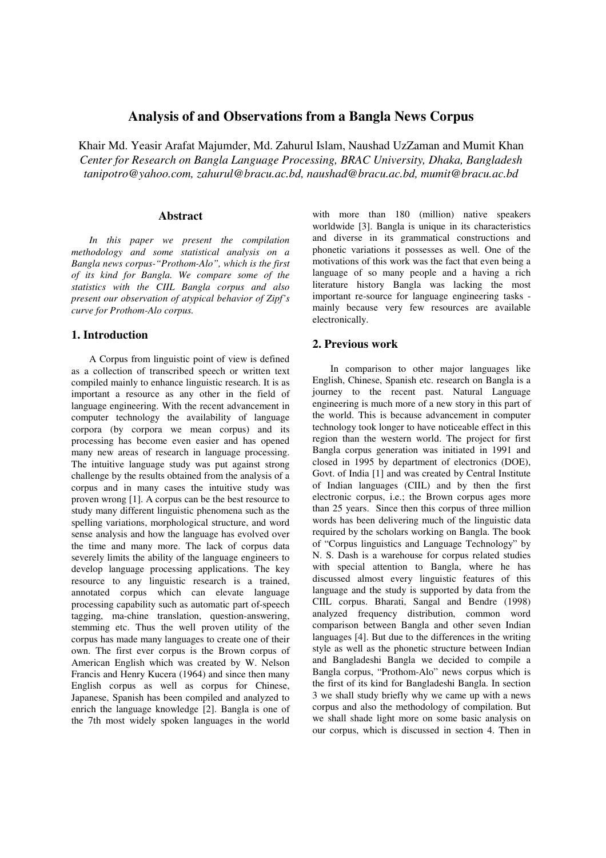# **Analysis of and Observations from a Bangla News Corpus**

Khair Md. Yeasir Arafat Majumder, Md. Zahurul Islam, Naushad UzZaman and Mumit Khan *Center for Research on Bangla Language Processing, BRAC University, Dhaka, Bangladesh tanipotro@yahoo.com, zahurul@bracu.ac.bd, naushad@bracu.ac.bd, mumit@bracu.ac.bd* 

### **Abstract**

*In this paper we present the compilation methodology and some statistical analysis on a Bangla news corpus-"Prothom-Alo", which is the first of its kind for Bangla. We compare some of the statistics with the CIIL Bangla corpus and also present our observation of atypical behavior of Zipf's curve for Prothom-Alo corpus.* 

### **1. Introduction**

A Corpus from linguistic point of view is defined as a collection of transcribed speech or written text compiled mainly to enhance linguistic research. It is as important a resource as any other in the field of language engineering. With the recent advancement in computer technology the availability of language corpora (by corpora we mean corpus) and its processing has become even easier and has opened many new areas of research in language processing. The intuitive language study was put against strong challenge by the results obtained from the analysis of a corpus and in many cases the intuitive study was proven wrong [1]. A corpus can be the best resource to study many different linguistic phenomena such as the spelling variations, morphological structure, and word sense analysis and how the language has evolved over the time and many more. The lack of corpus data severely limits the ability of the language engineers to develop language processing applications. The key resource to any linguistic research is a trained, annotated corpus which can elevate language processing capability such as automatic part of-speech tagging, ma-chine translation, question-answering, stemming etc. Thus the well proven utility of the corpus has made many languages to create one of their own. The first ever corpus is the Brown corpus of American English which was created by W. Nelson Francis and Henry Kucera (1964) and since then many English corpus as well as corpus for Chinese, Japanese, Spanish has been compiled and analyzed to enrich the language knowledge [2]. Bangla is one of the 7th most widely spoken languages in the world

with more than 180 (million) native speakers worldwide [3]. Bangla is unique in its characteristics and diverse in its grammatical constructions and phonetic variations it possesses as well. One of the motivations of this work was the fact that even being a language of so many people and a having a rich literature history Bangla was lacking the most important re-source for language engineering tasks mainly because very few resources are available electronically.

#### **2. Previous work**

In comparison to other major languages like English, Chinese, Spanish etc. research on Bangla is a journey to the recent past. Natural Language engineering is much more of a new story in this part of the world. This is because advancement in computer technology took longer to have noticeable effect in this region than the western world. The project for first Bangla corpus generation was initiated in 1991 and closed in 1995 by department of electronics (DOE), Govt. of India [1] and was created by Central Institute of Indian languages (CIIL) and by then the first electronic corpus, i.e.; the Brown corpus ages more than 25 years. Since then this corpus of three million words has been delivering much of the linguistic data required by the scholars working on Bangla. The book of "Corpus linguistics and Language Technology" by N. S. Dash is a warehouse for corpus related studies with special attention to Bangla, where he has discussed almost every linguistic features of this language and the study is supported by data from the CIIL corpus. Bharati, Sangal and Bendre (1998) analyzed frequency distribution, common word comparison between Bangla and other seven Indian languages [4]. But due to the differences in the writing style as well as the phonetic structure between Indian and Bangladeshi Bangla we decided to compile a Bangla corpus, "Prothom-Alo" news corpus which is the first of its kind for Bangladeshi Bangla. In section 3 we shall study briefly why we came up with a news corpus and also the methodology of compilation. But we shall shade light more on some basic analysis on our corpus, which is discussed in section 4. Then in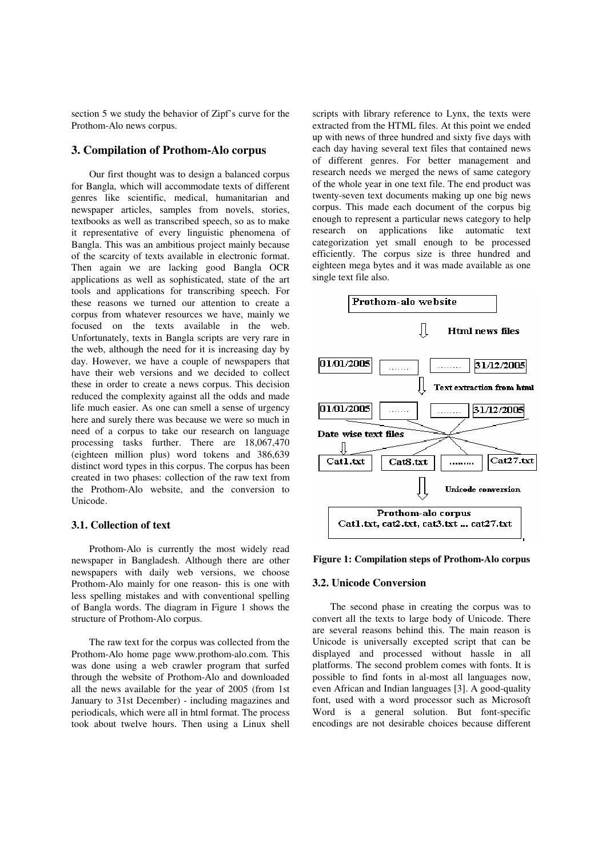section 5 we study the behavior of Zipf's curve for the Prothom-Alo news corpus.

### **3. Compilation of Prothom-Alo corpus**

Our first thought was to design a balanced corpus for Bangla, which will accommodate texts of different genres like scientific, medical, humanitarian and newspaper articles, samples from novels, stories, textbooks as well as transcribed speech, so as to make it representative of every linguistic phenomena of Bangla. This was an ambitious project mainly because of the scarcity of texts available in electronic format. Then again we are lacking good Bangla OCR applications as well as sophisticated, state of the art tools and applications for transcribing speech. For these reasons we turned our attention to create a corpus from whatever resources we have, mainly we focused on the texts available in the web. Unfortunately, texts in Bangla scripts are very rare in the web, although the need for it is increasing day by day. However, we have a couple of newspapers that have their web versions and we decided to collect these in order to create a news corpus. This decision reduced the complexity against all the odds and made life much easier. As one can smell a sense of urgency here and surely there was because we were so much in need of a corpus to take our research on language processing tasks further. There are 18,067,470 (eighteen million plus) word tokens and 386,639 distinct word types in this corpus. The corpus has been created in two phases: collection of the raw text from the Prothom-Alo website, and the conversion to Unicode.

#### **3.1. Collection of text**

Prothom-Alo is currently the most widely read newspaper in Bangladesh. Although there are other newspapers with daily web versions, we choose Prothom-Alo mainly for one reason- this is one with less spelling mistakes and with conventional spelling of Bangla words. The diagram in Figure 1 shows the structure of Prothom-Alo corpus.

The raw text for the corpus was collected from the Prothom-Alo home page www.prothom-alo.com. This was done using a web crawler program that surfed through the website of Prothom-Alo and downloaded all the news available for the year of 2005 (from 1st January to 31st December) - including magazines and periodicals, which were all in html format. The process took about twelve hours. Then using a Linux shell

scripts with library reference to Lynx, the texts were extracted from the HTML files. At this point we ended up with news of three hundred and sixty five days with each day having several text files that contained news of different genres. For better management and research needs we merged the news of same category of the whole year in one text file. The end product was twenty-seven text documents making up one big news corpus. This made each document of the corpus big enough to represent a particular news category to help research on applications like automatic text categorization yet small enough to be processed efficiently. The corpus size is three hundred and eighteen mega bytes and it was made available as one single text file also.



#### **Figure 1: Compilation steps of Prothom-Alo corpus**

#### **3.2. Unicode Conversion**

The second phase in creating the corpus was to convert all the texts to large body of Unicode. There are several reasons behind this. The main reason is Unicode is universally excepted script that can be displayed and processed without hassle in all platforms. The second problem comes with fonts. It is possible to find fonts in al-most all languages now, even African and Indian languages [3]. A good-quality font, used with a word processor such as Microsoft Word is a general solution. But font-specific encodings are not desirable choices because different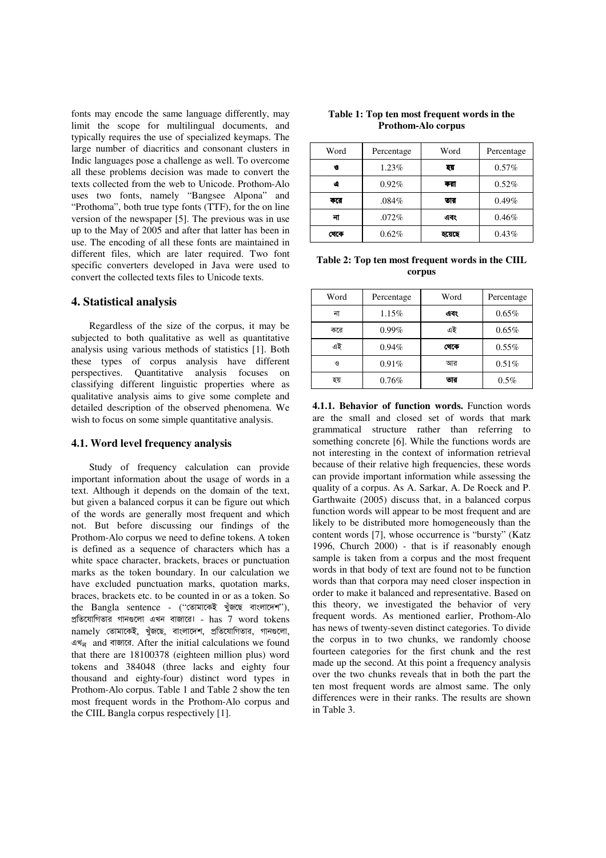fonts may encode the same language differently, may limit the scope for multilingual documents, and typically requires the use of specialized keymaps. The large number of diacritics and consonant clusters in Indic languages pose a challenge as well. To overcome all these problems decision was made to convert the texts collected from the web to Unicode. Prothom-Alo uses two fonts, namely "Bangsee Alpona" and "Prothoma", both true type fonts (TTF), for the on line version of the newspaper [5]. The previous was in use up to the May of 2005 and after that latter has been in use. The encoding of all these fonts are maintained in different files, which are later required. Two font specific converters developed in Java were used to convert the collected texts files to Unicode texts.

### **4. Statistical analysis**

Regardless of the size of the corpus, it may be subjected to both qualitative as well as quantitative analysis using various methods of statistics [1]. Both these types of corpus analysis have different perspectives. Quantitative analysis focuses on classifying different linguistic properties where as qualitative analysis aims to give some complete and detailed description of the observed phenomena. We wish to focus on some simple quantitative analysis.

#### **4.1. Word level frequency analysis**

Study of frequency calculation can provide important information about the usage of words in a text. Although it depends on the domain of the text, but given a balanced corpus it can be figure out which of the words are generally most frequent and which not. But before discussing our findings of the Prothom-Alo corpus we need to define tokens. A token is defined as a sequence of characters which has a white space character, brackets, braces or punctuation marks as the token boundary. In our calculation we have excluded punctuation marks, quotation marks, braces, brackets etc. to be counted in or as a token. So the Bangla sentence - (''তোমাকেই খুঁজছে বাংলাদেশ''), প্রতিযোগিতার গানগুলো এখন বাজারে। - has 7 word tokens namely তোমাকেই, খুঁজছে, বাংলাদেশ, প্রতিযোগিতার, গানগুলো, এখ<sub>ন</sub> and বাজারে. After the initial calculations we found that there are 18100378 (eighteen million plus) word tokens and 384048 (three lacks and eighty four thousand and eighty-four) distinct word types in Prothom-Alo corpus. Table 1 and Table 2 show the ten most frequent words in the Prothom-Alo corpus and the CIIL Bangla corpus respectively [1].

| Table 1: Top ten most frequent words in the |  |
|---------------------------------------------|--|
| <b>Prothom-Alo corpus</b>                   |  |

| Word      | Percentage | Word   | Percentage |
|-----------|------------|--------|------------|
| <b>۱G</b> | 1.23%      | হয়    | 0.57%      |
| ۹         | 0.92%      | করা    | 0.52%      |
| করে       | .084%      | তার    | 0.49%      |
| না        | .072%      | এবং    | 0.46%      |
| খেকে      | 0.62%      | হয়েছে | 0.43%      |

**Table 2: Top ten most frequent words in the CIIL corpus** 

| Word | Percentage | Word | Percentage |
|------|------------|------|------------|
| না   | 1.15%      | এবং  | 0.65%      |
| করে  | $0.99\%$   | এই   | 0.65%      |
| এই   | 0.94%      | থেকে | 0.55%      |
| ও    | 0.91%      | আব   | 0.51%      |
| হয়  | 0.76%      | তার  | $0.5\%$    |

**4.1.1. Behavior of function words.** Function words are the small and closed set of words that mark grammatical structure rather than referring to something concrete [6]. While the functions words are not interesting in the context of information retrieval because of their relative high frequencies, these words can provide important information while assessing the quality of a corpus. As A. Sarkar, A. De Roeck and P. Garthwaite (2005) discuss that, in a balanced corpus function words will appear to be most frequent and are likely to be distributed more homogeneously than the content words [7], whose occurrence is "bursty" (Katz 1996, Church 2000) - that is if reasonably enough sample is taken from a corpus and the most frequent words in that body of text are found not to be function words than that corpora may need closer inspection in order to make it balanced and representative. Based on this theory, we investigated the behavior of very frequent words. As mentioned earlier, Prothom-Alo has news of twenty-seven distinct categories. To divide the corpus in to two chunks, we randomly choose fourteen categories for the first chunk and the rest made up the second. At this point a frequency analysis over the two chunks reveals that in both the part the ten most frequent words are almost same. The only differences were in their ranks. The results are shown in Table 3.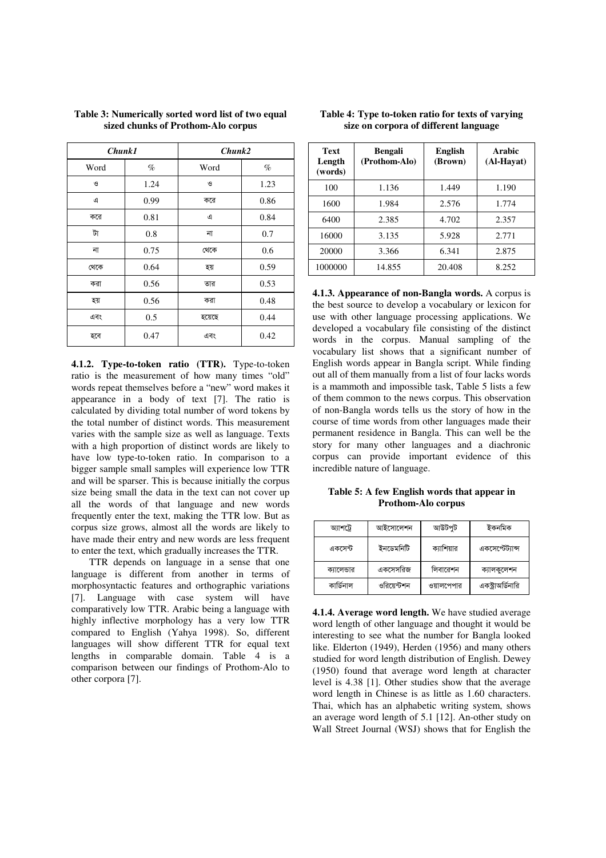| <b>Chunk1</b> |      | Chunk2 |      |
|---------------|------|--------|------|
| Word          | $\%$ | Word   | $\%$ |
| G             | 1.24 | S      | 1.23 |
| এ             | 0.99 | করে    | 0.86 |
| করে           | 0.81 | ৰ      | 0.84 |
| টা            | 0.8  | না     | 0.7  |
| না            | 0.75 | থেকে   | 0.6  |
| থেকে          | 0.64 | হয়    | 0.59 |
| করা           | 0.56 | তার    | 0.53 |
| হয়           | 0.56 | করা    | 0.48 |
| এবং           | 0.5  | হয়েছে | 0.44 |
| হবে           | 0.47 | এবং    | 0.42 |

### **Table 3: Numerically sorted word list of two equal sized chunks of Prothom-Alo corpus**

**4.1.2. Type-to-token ratio (TTR).** Type-to-token ratio is the measurement of how many times "old" words repeat themselves before a "new" word makes it appearance in a body of text [7]. The ratio is calculated by dividing total number of word tokens by the total number of distinct words. This measurement varies with the sample size as well as language. Texts with a high proportion of distinct words are likely to have low type-to-token ratio. In comparison to a bigger sample small samples will experience low TTR and will be sparser. This is because initially the corpus size being small the data in the text can not cover up all the words of that language and new words frequently enter the text, making the TTR low. But as corpus size grows, almost all the words are likely to have made their entry and new words are less frequent to enter the text, which gradually increases the TTR.

TTR depends on language in a sense that one language is different from another in terms of morphosyntactic features and orthographic variations [7]. Language with case system will have comparatively low TTR. Arabic being a language with highly inflective morphology has a very low TTR compared to English (Yahya 1998). So, different languages will show different TTR for equal text lengths in comparable domain. Table 4 is a comparison between our findings of Prothom-Alo to other corpora [7].

| <b>Text</b><br>Length<br>(words) | <b>Bengali</b><br>(Prothom-Alo) | <b>English</b><br>(Brown) | Arabic<br>(Al-Havat) |
|----------------------------------|---------------------------------|---------------------------|----------------------|
| 100                              | 1.136                           | 1.449                     | 1.190                |
| 1600                             | 1.984                           | 2.576                     | 1.774                |
| 6400                             | 2.385                           | 4.702                     | 2.357                |
| 16000                            | 3.135                           | 5.928                     | 2.771                |
| 20000                            | 3.366                           | 6.341                     | 2.875                |
| 1000000                          | 14.855                          | 20.408                    | 8.252                |

#### **Table 4: Type to-token ratio for texts of varying size on corpora of different language**

**4.1.3. Appearance of non-Bangla words.** A corpus is the best source to develop a vocabulary or lexicon for use with other language processing applications. We developed a vocabulary file consisting of the distinct words in the corpus. Manual sampling of the vocabulary list shows that a significant number of English words appear in Bangla script. While finding out all of them manually from a list of four lacks words is a mammoth and impossible task, Table 5 lists a few of them common to the news corpus. This observation of non-Bangla words tells us the story of how in the course of time words from other languages made their permanent residence in Bangla. This can well be the story for many other languages and a diachronic corpus can provide important evidence of this incredible nature of language.

**Table 5: A few English words that appear in Prothom-Alo corpus** 

| আশট্টে      | আইসোলেশন    | আউটপুট     | ইকনমিক            |
|-------------|-------------|------------|-------------------|
| একসেন্ট     | ইনডেমনিটি   | ক্যাশিয়ার | একসেপ্টেট্যান্স   |
| ক্যালেন্ডার | একসেসরিজ    | লিবারেশন   | ক্যালকুলেশন       |
| কাৰ্ডিনাল   | ওরিয়েন্টশন | ওয়ালপেপার | একস্ট্রাঅর্ডিনারি |

**4.1.4. Average word length.** We have studied average word length of other language and thought it would be interesting to see what the number for Bangla looked like. Elderton (1949), Herden (1956) and many others studied for word length distribution of English. Dewey (1950) found that average word length at character level is 4.38 [1]. Other studies show that the average word length in Chinese is as little as 1.60 characters. Thai, which has an alphabetic writing system, shows an average word length of 5.1 [12]. An-other study on Wall Street Journal (WSJ) shows that for English the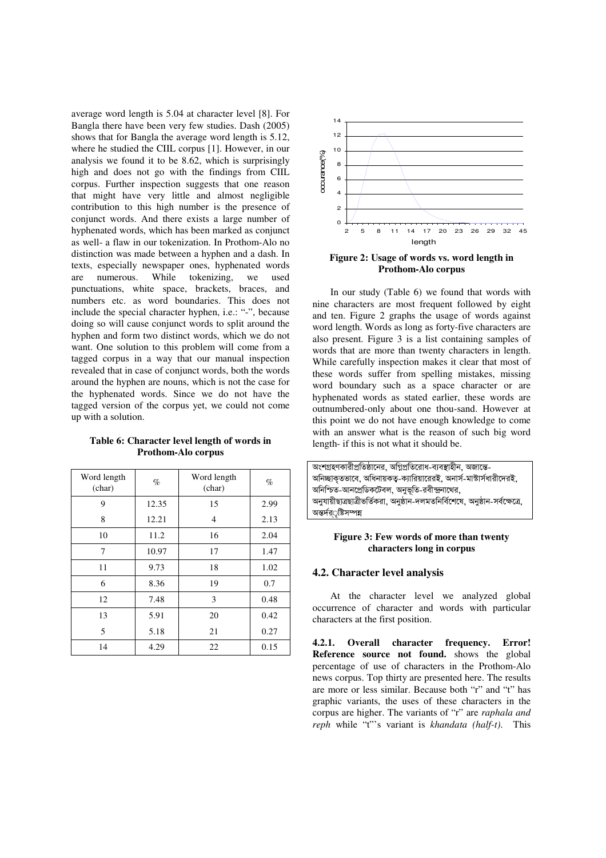average word length is 5.04 at character level [8]. For Bangla there have been very few studies. Dash (2005) shows that for Bangla the average word length is 5.12, where he studied the CIIL corpus [1]. However, in our analysis we found it to be 8.62, which is surprisingly high and does not go with the findings from CIIL corpus. Further inspection suggests that one reason that might have very little and almost negligible contribution to this high number is the presence of conjunct words. And there exists a large number of hyphenated words, which has been marked as conjunct as well- a flaw in our tokenization. In Prothom-Alo no distinction was made between a hyphen and a dash. In texts, especially newspaper ones, hyphenated words are numerous. While tokenizing, we used punctuations, white space, brackets, braces, and numbers etc. as word boundaries. This does not include the special character hyphen, i.e.: "-", because doing so will cause conjunct words to split around the hyphen and form two distinct words, which we do not want. One solution to this problem will come from a tagged corpus in a way that our manual inspection revealed that in case of conjunct words, both the words around the hyphen are nouns, which is not the case for the hyphenated words. Since we do not have the tagged version of the corpus yet, we could not come up with a solution.

| Word length<br>(char) | $\%$  | Word length<br>(char) | $\%$ |
|-----------------------|-------|-----------------------|------|
| 9                     | 12.35 | 15                    | 2.99 |
| 8                     | 12.21 | 4                     | 2.13 |
| 10                    | 11.2  | 16                    | 2.04 |
| 7                     | 10.97 | 17                    | 1.47 |
| 11                    | 9.73  | 18                    | 1.02 |
| 6                     | 8.36  | 19                    | 0.7  |
| 12                    | 7.48  | 3                     | 0.48 |
| 13                    | 5.91  | 20                    | 0.42 |
| 5                     | 5.18  | 21                    | 0.27 |
| 14                    | 4.29  | 22                    | 0.15 |

#### **Table 6: Character level length of words in Prothom-Alo corpus**



**Figure 2: Usage of words vs. word length in Prothom-Alo corpus** 

In our study (Table 6) we found that words with nine characters are most frequent followed by eight and ten. Figure 2 graphs the usage of words against word length. Words as long as forty-five characters are also present. Figure 3 is a list containing samples of words that are more than twenty characters in length. While carefully inspection makes it clear that most of these words suffer from spelling mistakes, missing word boundary such as a space character or are hyphenated words as stated earlier, these words are outnumbered-only about one thou-sand. However at this point we do not have enough knowledge to come with an answer what is the reason of such big word length- if this is not what it should be.

| অংশগ্রহণকারীপ্রতিষ্ঠানের, অগ্নিপ্রতিরোধ-ব্যবস্থাহীন, অজান্তে-                |
|------------------------------------------------------------------------------|
| অনিচ্ছাকৃতভাবে, অধিনায়কত্ব-ক্যারিয়ারেরই, অনার্স-মাস্টার্সধারীদেরই,         |
| অনিশ্চিত-আনপ্রেডিকটেবল, অনুভূতি-রবীন্দ্রনাথের,                               |
| অনুযায়ীছাত্রছাত্রীভর্তিকরা, অনুষ্ঠান-দলমতনির্বিশেষে, অনুষ্ঠান-সর্বক্ষেত্রে, |
| অন্তৰ্দর্ৃষ্টিসম্পন্ন                                                        |

#### **Figure 3: Few words of more than twenty characters long in corpus**

### **4.2. Character level analysis**

At the character level we analyzed global occurrence of character and words with particular characters at the first position.

**4.2.1. Overall character frequency. Error! Reference source not found.** shows the global percentage of use of characters in the Prothom-Alo news corpus. Top thirty are presented here. The results are more or less similar. Because both "r" and "t" has graphic variants, the uses of these characters in the corpus are higher. The variants of "r" are *raphala and reph* while "t"'s variant is *khandata (half-t)*. This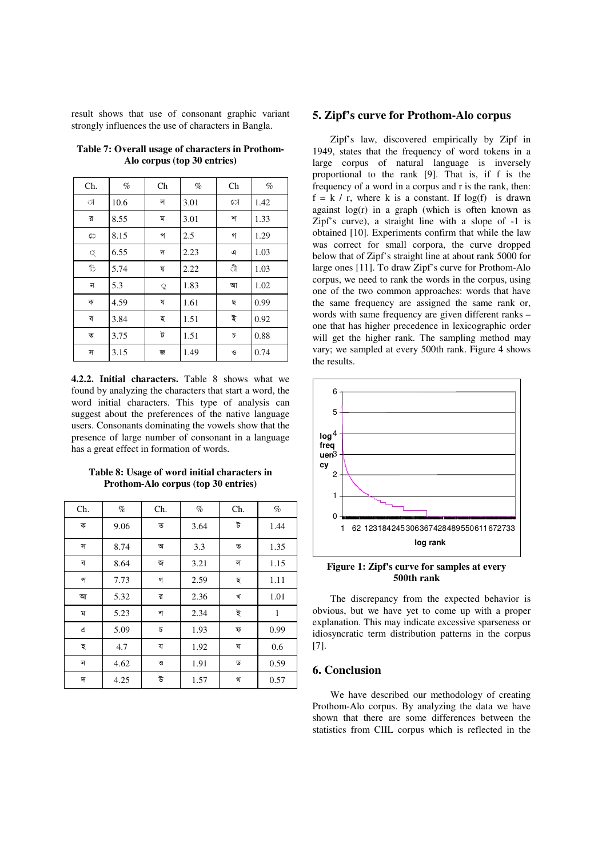result shows that use of consonant graphic variant strongly influences the use of characters in Bangla.

| Ch.     | $\%$ | $\rm Ch$ | $\%$ | Ch | $\%$ |
|---------|------|----------|------|----|------|
| া       | 10.6 | ল        | 3.01 | ো  | 1.42 |
| র       | 8.55 | ম        | 3.01 | শ  | 1.33 |
| $\circ$ | 8.15 | প        | 2.5  | গ  | 1.29 |
| Q       | 6.55 | দ        | 2.23 | এ  | 1.03 |
| ि       | 5.74 | য়       | 2.22 | ी  | 1.03 |
| ন       | 5.3  | ू        | 1.83 | আ  | 1.02 |
| ক       | 4.59 | য        | 1.61 | ছ  | 0.99 |
| ব       | 3.84 | হ        | 1.51 | ই  | 0.92 |
| ত       | 3.75 | ট        | 1.51 | Б  | 0.88 |
| স       | 3.15 | জ        | 1.49 | G  | 0.74 |

**Table 7: Overall usage of characters in Prothom-Alo corpus (top 30 entries)** 

**4.2.2. Initial characters.** Table 8 shows what we found by analyzing the characters that start a word, the word initial characters. This type of analysis can suggest about the preferences of the native language users. Consonants dominating the vowels show that the presence of large number of consonant in a language has a great effect in formation of words.

**Table 8: Usage of word initial characters in Prothom-Alo corpus (top 30 entries)** 

| Ch. | $\%$ | Ch. | $\%$ | Ch. | $\%$         |
|-----|------|-----|------|-----|--------------|
| ক   | 9.06 | ত   | 3.64 | ট   | 1.44         |
| স   | 8.74 | অ   | 3.3  | ভ   | 1.35         |
| ব   | 8.64 | জ   | 3.21 | ল   | 1.15         |
| প   | 7.73 | গ   | 2.59 | ছ   | 1.11         |
| আ   | 5.32 | র   | 2.36 | খ   | 1.01         |
| ম   | 5.23 | শ   | 2.34 | ই   | $\mathbf{1}$ |
| এ   | 5.09 | Б   | 1.93 | ফ   | 0.99         |
| হ   | 4.7  | য   | 1.92 | ঘ   | 0.6          |
| ন   | 4.62 | O   | 1.91 | ড   | 0.59         |
| দ   | 4.25 | উ   | 1.57 | থ   | 0.57         |

### **5. Zipf's curve for Prothom-Alo corpus**

Zipf's law, discovered empirically by Zipf in 1949, states that the frequency of word tokens in a large corpus of natural language is inversely proportional to the rank [9]. That is, if f is the frequency of a word in a corpus and r is the rank, then:  $f = k / r$ , where k is a constant. If log(f) is drawn against  $log(r)$  in a graph (which is often known as Zipf's curve), a straight line with a slope of -1 is obtained [10]. Experiments confirm that while the law was correct for small corpora, the curve dropped below that of Zipf's straight line at about rank 5000 for large ones [11]. To draw Zipf's curve for Prothom-Alo corpus, we need to rank the words in the corpus, using one of the two common approaches: words that have the same frequency are assigned the same rank or, words with same frequency are given different ranks – one that has higher precedence in lexicographic order will get the higher rank. The sampling method may vary; we sampled at every 500th rank. Figure 4 shows the results.



**Figure 1: Zipf's curve for samples at every 500th rank** 

The discrepancy from the expected behavior is obvious, but we have yet to come up with a proper explanation. This may indicate excessive sparseness or idiosyncratic term distribution patterns in the corpus [7].

### **6. Conclusion**

We have described our methodology of creating Prothom-Alo corpus. By analyzing the data we have shown that there are some differences between the statistics from CIIL corpus which is reflected in the